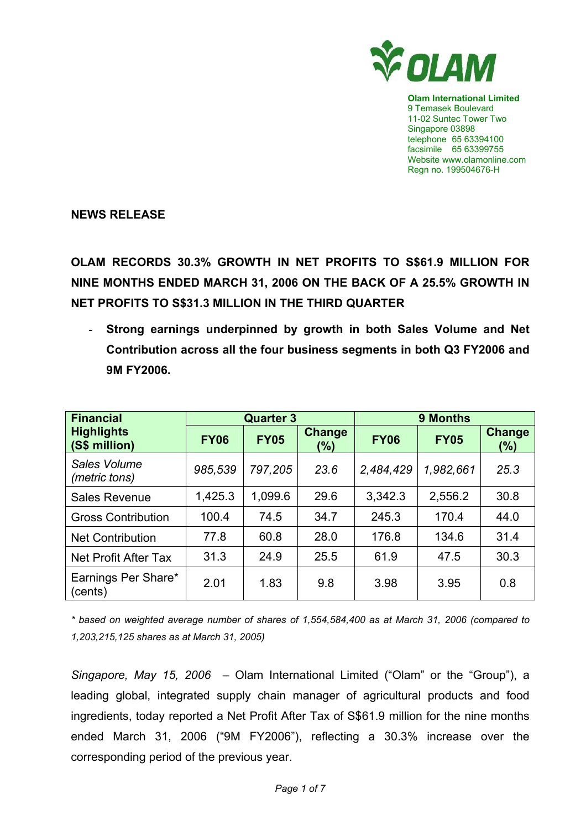

**Olam International Limited**  9 Temasek Boulevard 11-02 Suntec Tower Two Singapore 03898 telephone 65 63394100 facsimile 65 63399755 Website www.olamonline.com Regn no. 199504676-H

**NEWS RELEASE** 

**OLAM RECORDS 30.3% GROWTH IN NET PROFITS TO S\$61.9 MILLION FOR NINE MONTHS ENDED MARCH 31, 2006 ON THE BACK OF A 25.5% GROWTH IN NET PROFITS TO S\$31.3 MILLION IN THE THIRD QUARTER** 

- **Strong earnings underpinned by growth in both Sales Volume and Net Contribution across all the four business segments in both Q3 FY2006 and 9M FY2006.** 

| <b>Financial</b>                   | <b>Quarter 3</b> |             |                      | <b>9 Months</b> |             |                      |
|------------------------------------|------------------|-------------|----------------------|-----------------|-------------|----------------------|
| <b>Highlights</b><br>(S\$ million) | <b>FY06</b>      | <b>FY05</b> | <b>Change</b><br>(%) | <b>FY06</b>     | <b>FY05</b> | <b>Change</b><br>(%) |
| Sales Volume<br>(metric tons)      | 985,539          | 797,205     | 23.6                 | 2,484,429       | 1,982,661   | 25.3                 |
| <b>Sales Revenue</b>               | 1,425.3          | 1,099.6     | 29.6                 | 3,342.3         | 2,556.2     | 30.8                 |
| <b>Gross Contribution</b>          | 100.4            | 74.5        | 34.7                 | 245.3           | 170.4       | 44.0                 |
| <b>Net Contribution</b>            | 77.8             | 60.8        | 28.0                 | 176.8           | 134.6       | 31.4                 |
| Net Profit After Tax               | 31.3             | 24.9        | 25.5                 | 61.9            | 47.5        | 30.3                 |
| Earnings Per Share*<br>(cents)     | 2.01             | 1.83        | 9.8                  | 3.98            | 3.95        | 0.8                  |

*\* based on weighted average number of shares of 1,554,584,400 as at March 31, 2006 (compared to 1,203,215,125 shares as at March 31, 2005)* 

*Singapore, May 15, 2006 –* Olam International Limited ("Olam" or the "Group"), a leading global, integrated supply chain manager of agricultural products and food ingredients, today reported a Net Profit After Tax of S\$61.9 million for the nine months ended March 31, 2006 ("9M FY2006"), reflecting a 30.3% increase over the corresponding period of the previous year.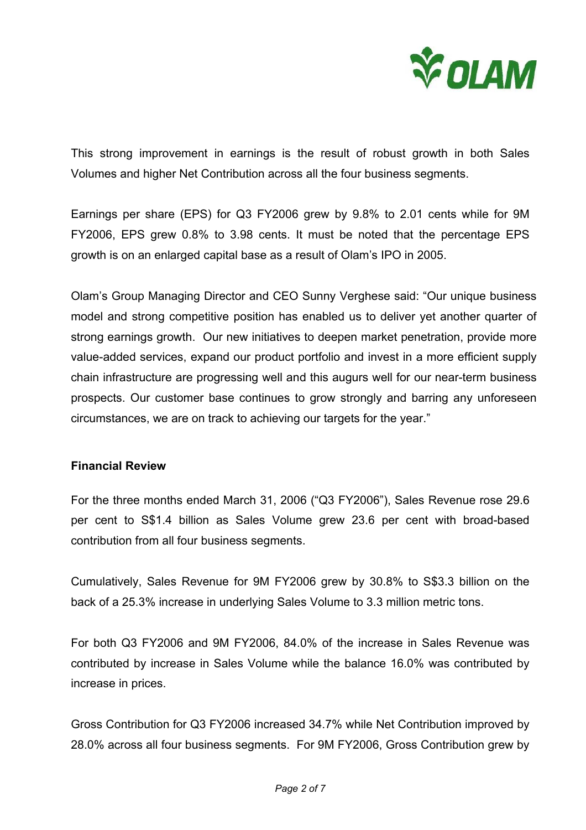

This strong improvement in earnings is the result of robust growth in both Sales Volumes and higher Net Contribution across all the four business segments.

Earnings per share (EPS) for Q3 FY2006 grew by 9.8% to 2.01 cents while for 9M FY2006, EPS grew 0.8% to 3.98 cents. It must be noted that the percentage EPS growth is on an enlarged capital base as a result of Olam's IPO in 2005.

Olam's Group Managing Director and CEO Sunny Verghese said: "Our unique business model and strong competitive position has enabled us to deliver yet another quarter of strong earnings growth. Our new initiatives to deepen market penetration, provide more value-added services, expand our product portfolio and invest in a more efficient supply chain infrastructure are progressing well and this augurs well for our near-term business prospects. Our customer base continues to grow strongly and barring any unforeseen circumstances, we are on track to achieving our targets for the year."

### **Financial Review**

For the three months ended March 31, 2006 ("Q3 FY2006"), Sales Revenue rose 29.6 per cent to S\$1.4 billion as Sales Volume grew 23.6 per cent with broad-based contribution from all four business segments.

Cumulatively, Sales Revenue for 9M FY2006 grew by 30.8% to S\$3.3 billion on the back of a 25.3% increase in underlying Sales Volume to 3.3 million metric tons.

For both Q3 FY2006 and 9M FY2006, 84.0% of the increase in Sales Revenue was contributed by increase in Sales Volume while the balance 16.0% was contributed by increase in prices.

Gross Contribution for Q3 FY2006 increased 34.7% while Net Contribution improved by 28.0% across all four business segments. For 9M FY2006, Gross Contribution grew by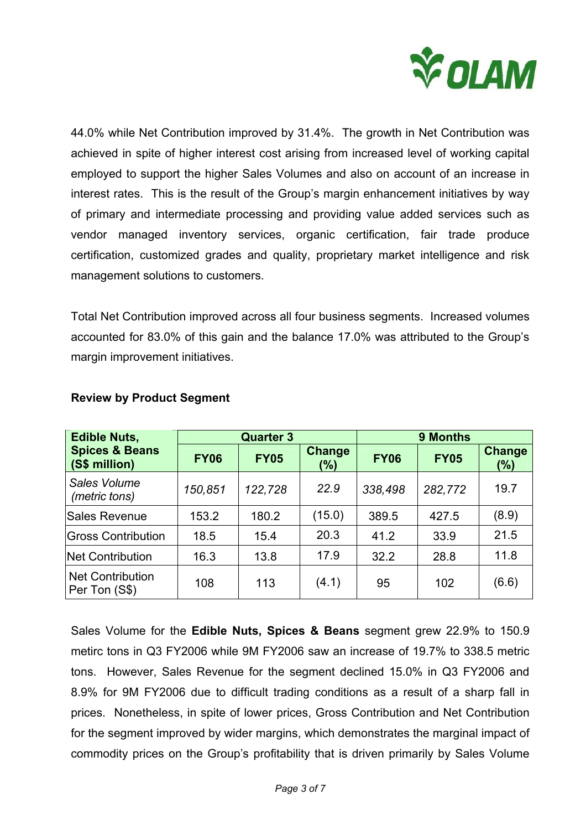

44.0% while Net Contribution improved by 31.4%. The growth in Net Contribution was achieved in spite of higher interest cost arising from increased level of working capital employed to support the higher Sales Volumes and also on account of an increase in interest rates. This is the result of the Group's margin enhancement initiatives by way of primary and intermediate processing and providing value added services such as vendor managed inventory services, organic certification, fair trade produce certification, customized grades and quality, proprietary market intelligence and risk management solutions to customers.

Total Net Contribution improved across all four business segments. Increased volumes accounted for 83.0% of this gain and the balance 17.0% was attributed to the Group's margin improvement initiatives.

| <b>Edible Nuts,</b>                        |             | <b>Quarter 3</b> |               |             | 9 Months    |                      |  |
|--------------------------------------------|-------------|------------------|---------------|-------------|-------------|----------------------|--|
| <b>Spices &amp; Beans</b><br>(S\$ million) | <b>FY06</b> | <b>FY05</b>      | Change<br>(%) | <b>FY06</b> | <b>FY05</b> | <b>Change</b><br>(%) |  |
| Sales Volume<br>(metric tons)              | 150,851     | 122,728          | 22.9          | 338,498     | 282,772     | 19.7                 |  |
| Sales Revenue                              | 153.2       | 180.2            | (15.0)        | 389.5       | 427.5       | (8.9)                |  |
| <b>Gross Contribution</b>                  | 18.5        | 15.4             | 20.3          | 41.2        | 33.9        | 21.5                 |  |
| <b>Net Contribution</b>                    | 16.3        | 13.8             | 17.9          | 32.2        | 28.8        | 11.8                 |  |
| <b>Net Contribution</b><br>Per Ton (S\$)   | 108         | 113              | (4.1)         | 95          | 102         | (6.6)                |  |

# **Review by Product Segment**

Sales Volume for the **Edible Nuts, Spices & Beans** segment grew 22.9% to 150.9 metirc tons in Q3 FY2006 while 9M FY2006 saw an increase of 19.7% to 338.5 metric tons. However, Sales Revenue for the segment declined 15.0% in Q3 FY2006 and 8.9% for 9M FY2006 due to difficult trading conditions as a result of a sharp fall in prices. Nonetheless, in spite of lower prices, Gross Contribution and Net Contribution for the segment improved by wider margins, which demonstrates the marginal impact of commodity prices on the Group's profitability that is driven primarily by Sales Volume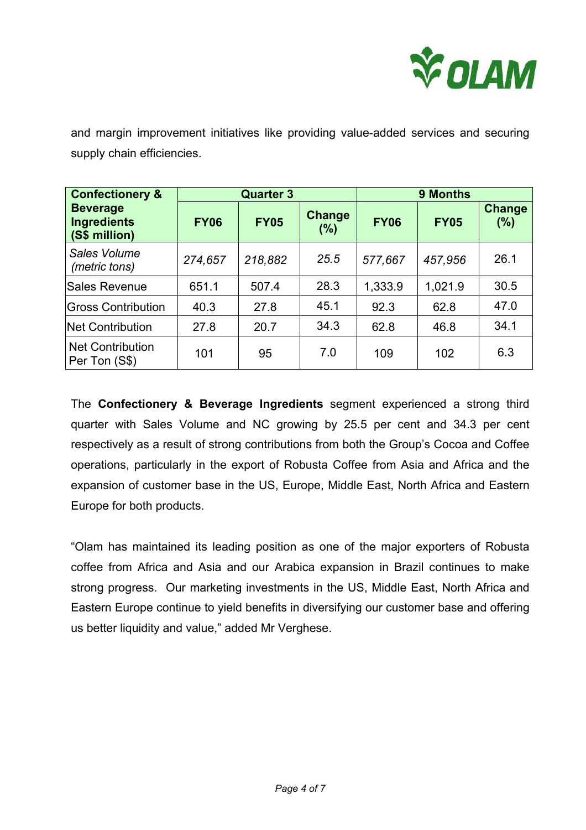

and margin improvement initiatives like providing value-added services and securing supply chain efficiencies.

| <b>Confectionery &amp;</b>                             | <b>Quarter 3</b> |             |                  | <b>9 Months</b> |             |                      |
|--------------------------------------------------------|------------------|-------------|------------------|-----------------|-------------|----------------------|
| <b>Beverage</b><br><b>Ingredients</b><br>(S\$ million) | <b>FY06</b>      | <b>FY05</b> | Change<br>$(\%)$ | <b>FY06</b>     | <b>FY05</b> | <b>Change</b><br>(%) |
| Sales Volume<br>(metric tons)                          | 274,657          | 218,882     | 25.5             | 577,667         | 457,956     | 26.1                 |
| Sales Revenue                                          | 651.1            | 507.4       | 28.3             | 1,333.9         | 1,021.9     | 30.5                 |
| <b>Gross Contribution</b>                              | 40.3             | 27.8        | 45.1             | 92.3            | 62.8        | 47.0                 |
| <b>Net Contribution</b>                                | 27.8             | 20.7        | 34.3             | 62.8            | 46.8        | 34.1                 |
| <b>Net Contribution</b><br>Per Ton (S\$)               | 101              | 95          | 7.0              | 109             | 102         | 6.3                  |

The **Confectionery & Beverage Ingredients** segment experienced a strong third quarter with Sales Volume and NC growing by 25.5 per cent and 34.3 per cent respectively as a result of strong contributions from both the Group's Cocoa and Coffee operations, particularly in the export of Robusta Coffee from Asia and Africa and the expansion of customer base in the US, Europe, Middle East, North Africa and Eastern Europe for both products.

"Olam has maintained its leading position as one of the major exporters of Robusta coffee from Africa and Asia and our Arabica expansion in Brazil continues to make strong progress. Our marketing investments in the US, Middle East, North Africa and Eastern Europe continue to yield benefits in diversifying our customer base and offering us better liquidity and value," added Mr Verghese.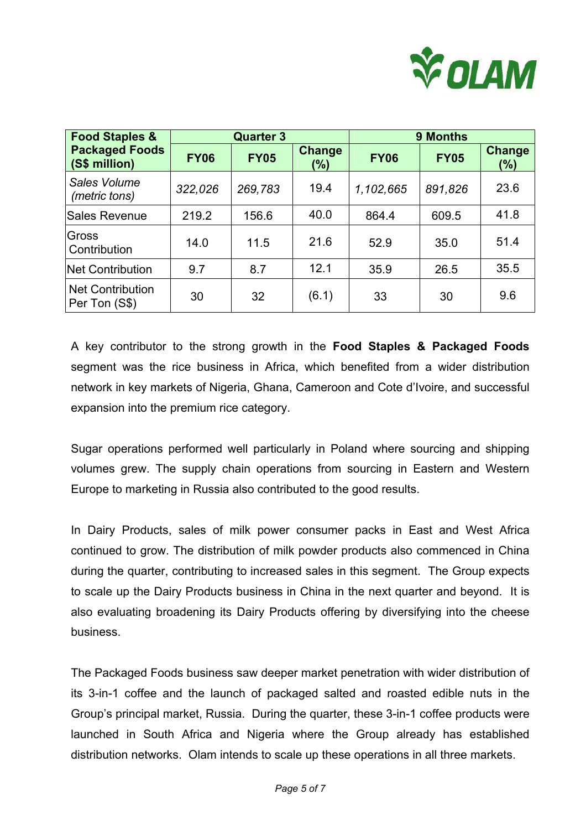

| <b>Food Staples &amp;</b>                | <b>Quarter 3</b> |             |                      | 9 Months    |             |                          |
|------------------------------------------|------------------|-------------|----------------------|-------------|-------------|--------------------------|
| <b>Packaged Foods</b><br>(S\$ million)   | <b>FY06</b>      | <b>FY05</b> | <b>Change</b><br>(%) | <b>FY06</b> | <b>FY05</b> | <b>Change</b><br>$(\% )$ |
| Sales Volume<br>(metric tons)            | 322,026          | 269,783     | 19.4                 | 1,102,665   | 891,826     | 23.6                     |
| <b>Sales Revenue</b>                     | 219.2            | 156.6       | 40.0                 | 864.4       | 609.5       | 41.8                     |
| Gross<br>Contribution                    | 14.0             | 11.5        | 21.6                 | 52.9        | 35.0        | 51.4                     |
| <b>Net Contribution</b>                  | 9.7              | 8.7         | 12.1                 | 35.9        | 26.5        | 35.5                     |
| <b>Net Contribution</b><br>Per Ton (S\$) | 30               | 32          | (6.1)                | 33          | 30          | 9.6                      |

A key contributor to the strong growth in the **Food Staples & Packaged Foods** segment was the rice business in Africa, which benefited from a wider distribution network in key markets of Nigeria, Ghana, Cameroon and Cote d'Ivoire, and successful expansion into the premium rice category.

Sugar operations performed well particularly in Poland where sourcing and shipping volumes grew. The supply chain operations from sourcing in Eastern and Western Europe to marketing in Russia also contributed to the good results.

In Dairy Products, sales of milk power consumer packs in East and West Africa continued to grow. The distribution of milk powder products also commenced in China during the quarter, contributing to increased sales in this segment. The Group expects to scale up the Dairy Products business in China in the next quarter and beyond. It is also evaluating broadening its Dairy Products offering by diversifying into the cheese business.

The Packaged Foods business saw deeper market penetration with wider distribution of its 3-in-1 coffee and the launch of packaged salted and roasted edible nuts in the Group's principal market, Russia. During the quarter, these 3-in-1 coffee products were launched in South Africa and Nigeria where the Group already has established distribution networks. Olam intends to scale up these operations in all three markets.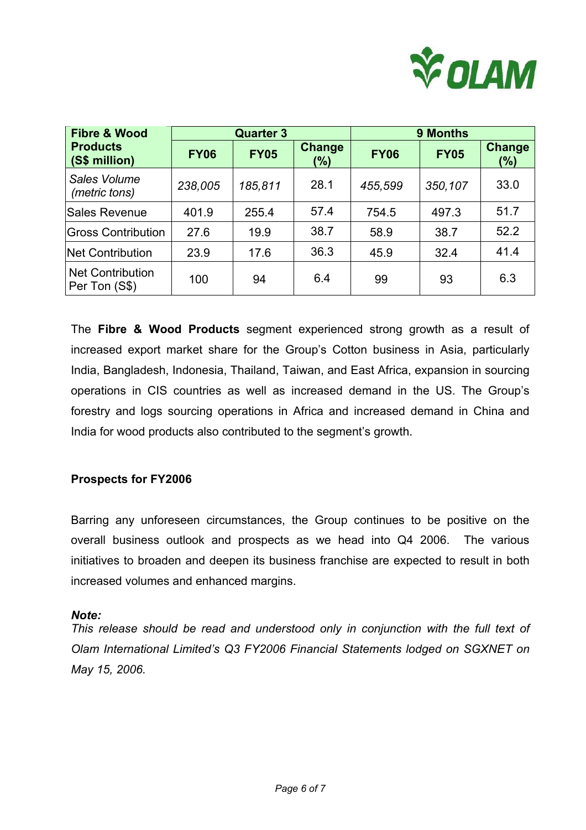

| <b>Fibre &amp; Wood</b>                  | <b>Quarter 3</b> |             |                      | <b>9 Months</b> |             |                      |
|------------------------------------------|------------------|-------------|----------------------|-----------------|-------------|----------------------|
| <b>Products</b><br>(S\$ million)         | <b>FY06</b>      | <b>FY05</b> | <b>Change</b><br>(%) | <b>FY06</b>     | <b>FY05</b> | <b>Change</b><br>(%) |
| Sales Volume<br>(metric tons)            | 238,005          | 185,811     | 28.1                 | 455,599         | 350,107     | 33.0                 |
| Sales Revenue                            | 401.9            | 255.4       | 57.4                 | 754.5           | 497.3       | 51.7                 |
| <b>Gross Contribution</b>                | 27.6             | 19.9        | 38.7                 | 58.9            | 38.7        | 52.2                 |
| <b>Net Contribution</b>                  | 23.9             | 17.6        | 36.3                 | 45.9            | 32.4        | 41.4                 |
| <b>Net Contribution</b><br>Per Ton (S\$) | 100              | 94          | 6.4                  | 99              | 93          | 6.3                  |

The **Fibre & Wood Products** segment experienced strong growth as a result of increased export market share for the Group's Cotton business in Asia, particularly India, Bangladesh, Indonesia, Thailand, Taiwan, and East Africa, expansion in sourcing operations in CIS countries as well as increased demand in the US. The Group's forestry and logs sourcing operations in Africa and increased demand in China and India for wood products also contributed to the segment's growth.

# **Prospects for FY2006**

Barring any unforeseen circumstances, the Group continues to be positive on the overall business outlook and prospects as we head into Q4 2006. The various initiatives to broaden and deepen its business franchise are expected to result in both increased volumes and enhanced margins.

### *Note:*

*This release should be read and understood only in conjunction with the full text of Olam International Limited's Q3 FY2006 Financial Statements lodged on SGXNET on May 15, 2006.*